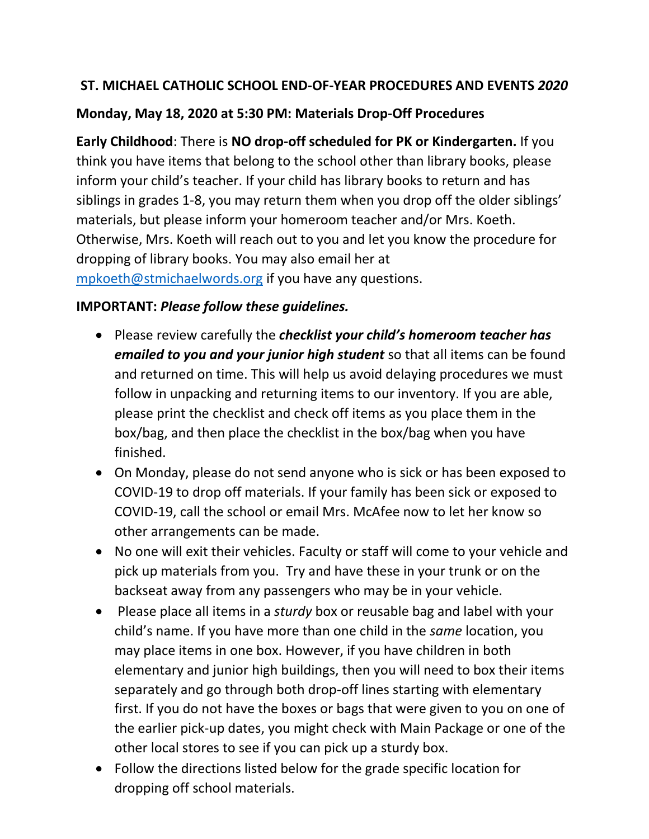## **ST. MICHAEL CATHOLIC SCHOOL END-OF-YEAR PROCEDURES AND EVENTS** *2020*

### **Monday, May 18, 2020 at 5:30 PM: Materials Drop-Off Procedures**

**Early Childhood**: There is **NO drop-off scheduled for PK or Kindergarten.** If you think you have items that belong to the school other than library books, please inform your child's teacher. If your child has library books to return and has siblings in grades 1-8, you may return them when you drop off the older siblings' materials, but please inform your homeroom teacher and/or Mrs. Koeth. Otherwise, Mrs. Koeth will reach out to you and let you know the procedure for dropping of library books. You may also email her at [mpkoeth@stmichaelwords.org](mailto:mpkoeth@stmichaelwords.org) if you have any questions.

#### **IMPORTANT:** *Please follow these guidelines.*

- Please review carefully the *checklist your child's homeroom teacher has emailed to you and your junior high student* so that all items can be found and returned on time. This will help us avoid delaying procedures we must follow in unpacking and returning items to our inventory. If you are able, please print the checklist and check off items as you place them in the box/bag, and then place the checklist in the box/bag when you have finished.
- On Monday, please do not send anyone who is sick or has been exposed to COVID-19 to drop off materials. If your family has been sick or exposed to COVID-19, call the school or email Mrs. McAfee now to let her know so other arrangements can be made.
- No one will exit their vehicles. Faculty or staff will come to your vehicle and pick up materials from you. Try and have these in your trunk or on the backseat away from any passengers who may be in your vehicle.
- Please place all items in a *sturdy* box or reusable bag and label with your child's name. If you have more than one child in the *same* location, you may place items in one box. However, if you have children in both elementary and junior high buildings, then you will need to box their items separately and go through both drop-off lines starting with elementary first. If you do not have the boxes or bags that were given to you on one of the earlier pick-up dates, you might check with Main Package or one of the other local stores to see if you can pick up a sturdy box.
- Follow the directions listed below for the grade specific location for dropping off school materials.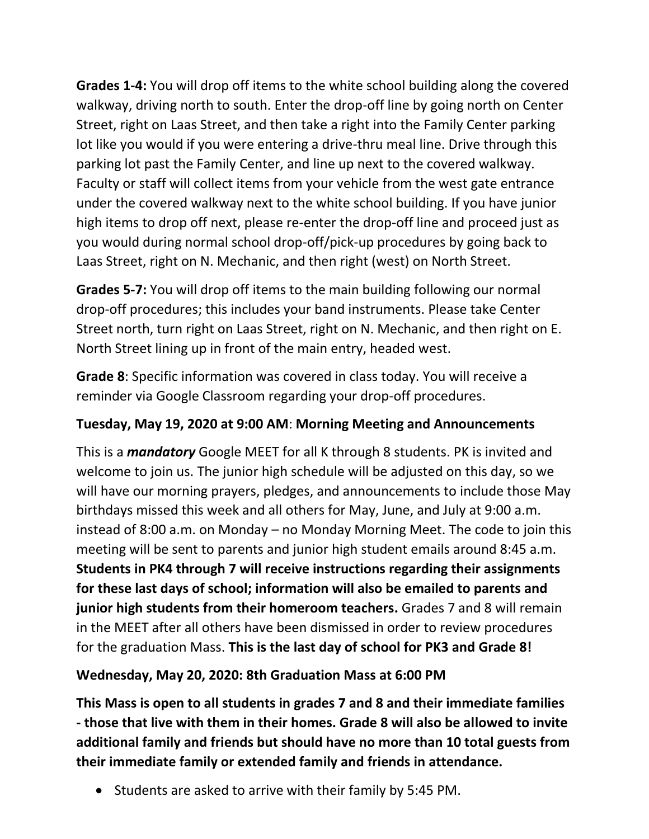**Grades 1-4:** You will drop off items to the white school building along the covered walkway, driving north to south. Enter the drop-off line by going north on Center Street, right on Laas Street, and then take a right into the Family Center parking lot like you would if you were entering a drive-thru meal line. Drive through this parking lot past the Family Center, and line up next to the covered walkway. Faculty or staff will collect items from your vehicle from the west gate entrance under the covered walkway next to the white school building. If you have junior high items to drop off next, please re-enter the drop-off line and proceed just as you would during normal school drop-off/pick-up procedures by going back to Laas Street, right on N. Mechanic, and then right (west) on North Street.

**Grades 5-7:** You will drop off items to the main building following our normal drop-off procedures; this includes your band instruments. Please take Center Street north, turn right on Laas Street, right on N. Mechanic, and then right on E. North Street lining up in front of the main entry, headed west.

**Grade 8**: Specific information was covered in class today. You will receive a reminder via Google Classroom regarding your drop-off procedures.

## **Tuesday, May 19, 2020 at 9:00 AM**: **Morning Meeting and Announcements**

This is a *mandatory* Google MEET for all K through 8 students. PK is invited and welcome to join us. The junior high schedule will be adjusted on this day, so we will have our morning prayers, pledges, and announcements to include those May birthdays missed this week and all others for May, June, and July at 9:00 a.m. instead of 8:00 a.m. on Monday – no Monday Morning Meet. The code to join this meeting will be sent to parents and junior high student emails around 8:45 a.m. **Students in PK4 through 7 will receive instructions regarding their assignments for these last days of school; information will also be emailed to parents and junior high students from their homeroom teachers.** Grades 7 and 8 will remain in the MEET after all others have been dismissed in order to review procedures for the graduation Mass. **This is the last day of school for PK3 and Grade 8!**

#### **Wednesday, May 20, 2020: 8th Graduation Mass at 6:00 PM**

**This Mass is open to all students in grades 7 and 8 and their immediate families - those that live with them in their homes. Grade 8 will also be allowed to invite additional family and friends but should have no more than 10 total guests from their immediate family or extended family and friends in attendance.** 

• Students are asked to arrive with their family by 5:45 PM.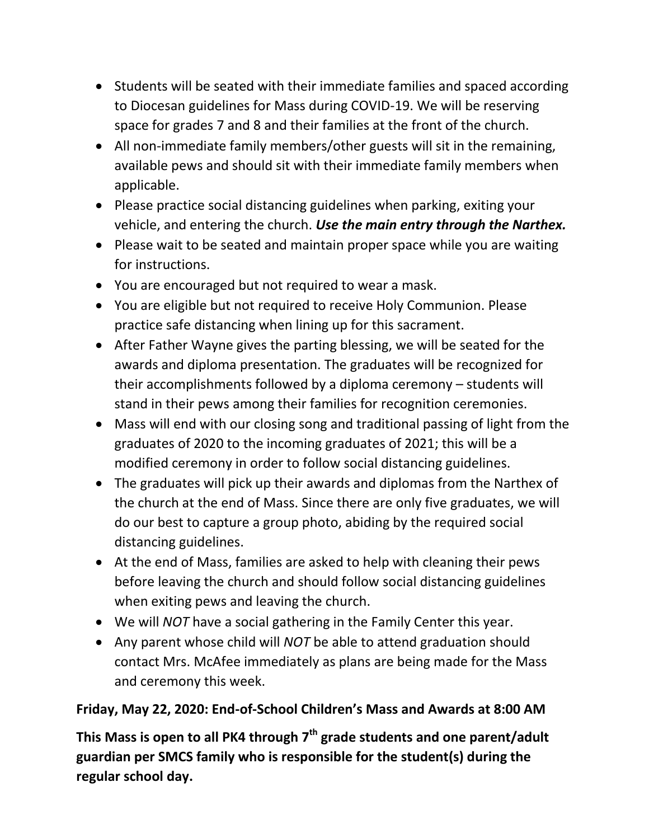- Students will be seated with their immediate families and spaced according to Diocesan guidelines for Mass during COVID-19. We will be reserving space for grades 7 and 8 and their families at the front of the church.
- All non-immediate family members/other guests will sit in the remaining, available pews and should sit with their immediate family members when applicable.
- Please practice social distancing guidelines when parking, exiting your vehicle, and entering the church. *Use the main entry through the Narthex.*
- Please wait to be seated and maintain proper space while you are waiting for instructions.
- You are encouraged but not required to wear a mask.
- You are eligible but not required to receive Holy Communion. Please practice safe distancing when lining up for this sacrament.
- After Father Wayne gives the parting blessing, we will be seated for the awards and diploma presentation. The graduates will be recognized for their accomplishments followed by a diploma ceremony – students will stand in their pews among their families for recognition ceremonies.
- Mass will end with our closing song and traditional passing of light from the graduates of 2020 to the incoming graduates of 2021; this will be a modified ceremony in order to follow social distancing guidelines.
- The graduates will pick up their awards and diplomas from the Narthex of the church at the end of Mass. Since there are only five graduates, we will do our best to capture a group photo, abiding by the required social distancing guidelines.
- At the end of Mass, families are asked to help with cleaning their pews before leaving the church and should follow social distancing guidelines when exiting pews and leaving the church.
- We will *NOT* have a social gathering in the Family Center this year.
- Any parent whose child will *NOT* be able to attend graduation should contact Mrs. McAfee immediately as plans are being made for the Mass and ceremony this week.

# **Friday, May 22, 2020: End-of-School Children's Mass and Awards at 8:00 AM**

**This Mass is open to all PK4 through 7th grade students and one parent/adult guardian per SMCS family who is responsible for the student(s) during the regular school day.**